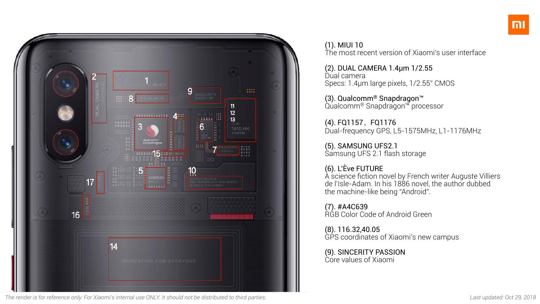

*The render is for reference only. For Xiaomi's internal use ONLY. It should not be distributed to third parties. Last updated: Oct 29, 2018*

Dual camera Specs: 1.4μm large pixels, 1/2.55" CMOS

(3). Qualcomm® Snapdragon™ Qualcomm® Snapdragon™ processor

#### (1). MIUI 10 The most recent version of Xiaomi's user interface

# (2). DUAL CAMERA 1.4μm 1/2.55

(8). 116.32,40.05 GPS coordinates of Xiaomi's new campus

(4). FQ1157、FQ1176 Dual-frequency GPS, L5-1575MHz, L1-1176MHz

(5). SAMSUNG UFS2.1 Samsung UFS 2.1 flash storage

# (6). L'Ève FUTURE

A science fiction novel by French writer Auguste Villiers de l'Isle-Adam. In his 1886 novel, the author dubbed the machine-like being "Android".

(7). #A4C639 RGB Color Code of Android Green

(9). SINCERITY PASSION Core values of Xiaomi

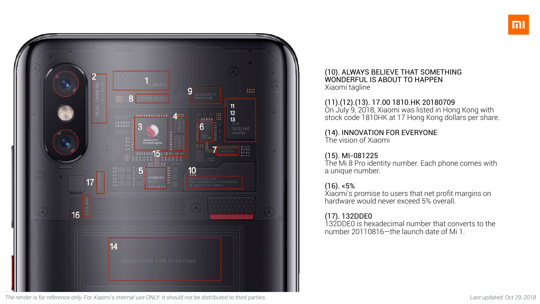

*The render is for reference only. For Xiaomi's internal use ONLY. It should not be distributed to third parties. Last updated: Oct 29, 2018*

#### (10). ALWAYS BELIEVE THAT SOMETHING WONDERFUL IS ABOUT TO HAPPEN Xiaomi tagline

#### (11).(12).(13). 17.00 1810.HK 20180709 On July 9, 2018, Xiaomi was listed in Hong Kong with stock code 1810HK at 17 Hong Kong dollars per share.

## (14). INNOVATION FOR EVERYONE

The vision of Xiaomi

## (15). MI-081225

The Mi 8 Pro identity number. Each phone comes with a unique number.

#### (16). <5%

Xiaomi's promise to users that net profit margins on hardware would never exceed 5% overall.

#### (17). 132DDE0

132DDE0 is hexadecimal number that converts to the number 20110816—the launch date of Mi 1.